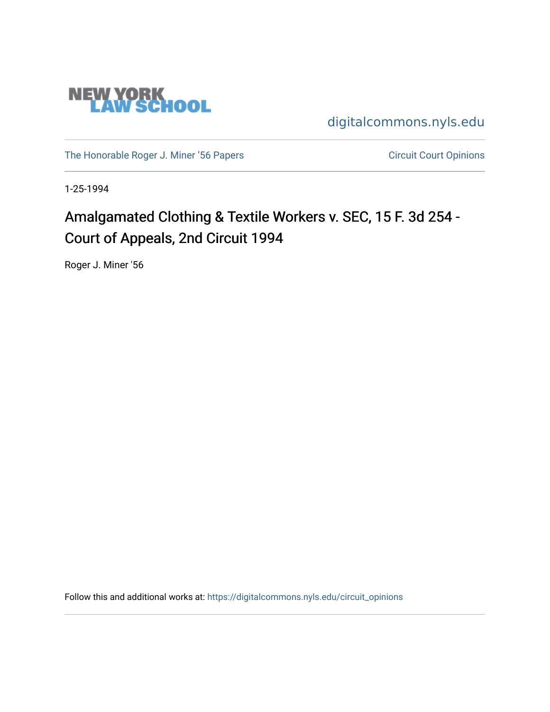

[digitalcommons.nyls.edu](https://digitalcommons.nyls.edu/) 

[The Honorable Roger J. Miner '56 Papers](https://digitalcommons.nyls.edu/miner_papers) Circuit Court Opinions

1-25-1994

# Amalgamated Clothing & Textile Workers v. SEC, 15 F. 3d 254 -Court of Appeals, 2nd Circuit 1994

Roger J. Miner '56

Follow this and additional works at: [https://digitalcommons.nyls.edu/circuit\\_opinions](https://digitalcommons.nyls.edu/circuit_opinions?utm_source=digitalcommons.nyls.edu%2Fcircuit_opinions%2F407&utm_medium=PDF&utm_campaign=PDFCoverPages)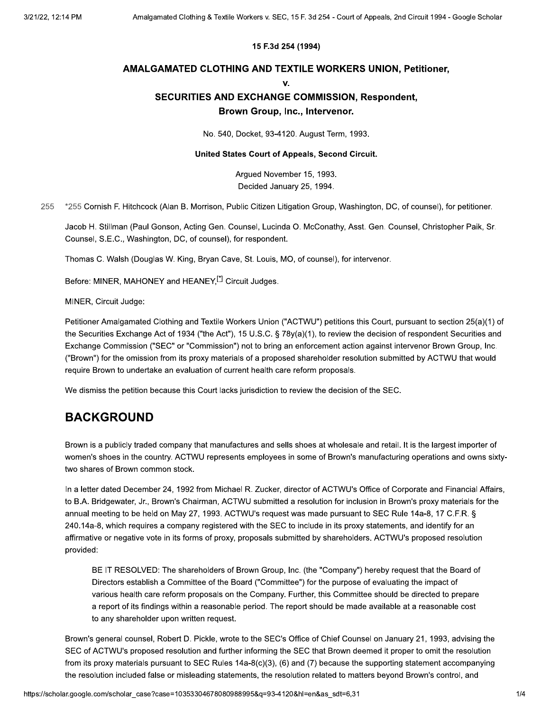#### 15 F.3d 254 (1994)

#### AMALGAMATED CLOTHING AND TEXTILE WORKERS UNION, Petitioner,

v.

### **SECURITIES AND EXCHANGE COMMISSION, Respondent,**

#### Brown Group, Inc., Intervenor.

No. 540, Docket, 93-4120. August Term, 1993.

#### United States Court of Appeals, Second Circuit.

Argued November 15, 1993. Decided January 25, 1994.

255 \*255 Cornish F. Hitchcock (Alan B. Morrison, Public Citizen Litigation Group, Washington, DC, of counsel), for petitioner.

Jacob H. Stillman (Paul Gonson, Acting Gen. Counsel, Lucinda O. McConathy, Asst. Gen. Counsel, Christopher Paik, Sr. Counsel, S.E.C., Washington, DC, of counsel), for respondent.

Thomas C. Walsh (Douglas W. King, Bryan Cave, St. Louis, MO, of counsel), for intervenor.

Before: MINER, MAHONEY and HEANEY,<sup>[1]</sup> Circuit Judges.

MINER, Circuit Judge:

Petitioner Amalgamated Clothing and Textile Workers Union ("ACTWU") petitions this Court, pursuant to section 25(a)(1) of the Securities Exchange Act of 1934 ("the Act"), 15 U.S.C. § 78y(a)(1), to review the decision of respondent Securities and Exchange Commission ("SEC" or "Commission") not to bring an enforcement action against intervenor Brown Group, Inc. ("Brown") for the omission from its proxy materials of a proposed shareholder resolution submitted by ACTWU that would require Brown to undertake an evaluation of current health care reform proposals.

We dismiss the petition because this Court lacks jurisdiction to review the decision of the SEC.

### **BACKGROUND**

Brown is a publicly traded company that manufactures and sells shoes at wholesale and retail. It is the largest importer of women's shoes in the country. ACTWU represents employees in some of Brown's manufacturing operations and owns sixtytwo shares of Brown common stock.

In a letter dated December 24, 1992 from Michael R. Zucker, director of ACTWU's Office of Corporate and Financial Affairs, to B.A. Bridgewater, Jr., Brown's Chairman, ACTWU submitted a resolution for inclusion in Brown's proxy materials for the annual meeting to be held on May 27, 1993. ACTWU's request was made pursuant to SEC Rule 14a-8, 17 C.F.R. § 240.14a-8, which requires a company registered with the SEC to include in its proxy statements, and identify for an affirmative or negative vote in its forms of proxy, proposals submitted by shareholders. ACTWU's proposed resolution provided:

BE IT RESOLVED: The shareholders of Brown Group, Inc. (the "Company") hereby request that the Board of Directors establish a Committee of the Board ("Committee") for the purpose of evaluating the impact of various health care reform proposals on the Company. Further, this Committee should be directed to prepare a report of its findings within a reasonable period. The report should be made available at a reasonable cost to any shareholder upon written request.

Brown's general counsel, Robert D. Pickle, wrote to the SEC's Office of Chief Counsel on January 21, 1993, advising the SEC of ACTWU's proposed resolution and further informing the SEC that Brown deemed it proper to omit the resolution from its proxy materials pursuant to SEC Rules 14a-8(c)(3), (6) and (7) because the supporting statement accompanying the resolution included false or misleading statements, the resolution related to matters beyond Brown's control, and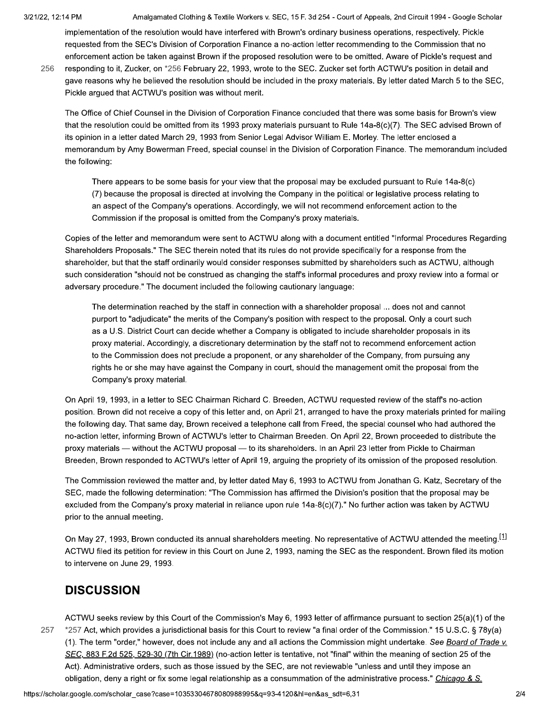3/21/22, 12:14 PM

Amalgamated Clothing & Textile Workers v. SEC, 15 F. 3d 254 - Court of Appeals, 2nd Circuit 1994 - Google Scholar

implementation of the resolution would have interfered with Brown's ordinary business operations, respectively. Pickle requested from the SEC's Division of Corporation Finance a no-action letter recommending to the Commission that no enforcement action be taken against Brown if the proposed resolution were to be omitted. Aware of Pickle's request and

256

responding to it, Zucker, on \*256 February 22, 1993, wrote to the SEC. Zucker set forth ACTWU's position in detail and gave reasons why he believed the resolution should be included in the proxy materials. By letter dated March 5 to the SEC. Pickle arqued that ACTWU's position was without merit.

The Office of Chief Counsel in the Division of Corporation Finance concluded that there was some basis for Brown's view that the resolution could be omitted from its 1993 proxy materials pursuant to Rule 14a-8(c)(7). The SEC advised Brown of its opinion in a letter dated March 29, 1993 from Senior Legal Advisor William E. Morley. The letter enclosed a memorandum by Amy Bowerman Freed, special counsel in the Division of Corporation Finance. The memorandum included the following:

There appears to be some basis for your view that the proposal may be excluded pursuant to Rule 14a-8(c) (7) because the proposal is directed at involving the Company in the political or legislative process relating to an aspect of the Company's operations. Accordingly, we will not recommend enforcement action to the Commission if the proposal is omitted from the Company's proxy materials.

Copies of the letter and memorandum were sent to ACTWU along with a document entitled "Informal Procedures Regarding Shareholders Proposals." The SEC therein noted that its rules do not provide specifically for a response from the shareholder, but that the staff ordinarily would consider responses submitted by shareholders such as ACTWU, although such consideration "should not be construed as changing the staff's informal procedures and proxy review into a formal or adversary procedure." The document included the following cautionary language:

The determination reached by the staff in connection with a shareholder proposal ... does not and cannot purport to "adjudicate" the merits of the Company's position with respect to the proposal. Only a court such as a U.S. District Court can decide whether a Company is obligated to include shareholder proposals in its proxy material. Accordingly, a discretionary determination by the staff not to recommend enforcement action to the Commission does not preclude a proponent, or any shareholder of the Company, from pursuing any rights he or she may have against the Company in court, should the management omit the proposal from the Company's proxy material.

On April 19, 1993, in a letter to SEC Chairman Richard C. Breeden, ACTWU requested review of the staff's no-action position. Brown did not receive a copy of this letter and, on April 21, arranged to have the proxy materials printed for mailing the following day. That same day, Brown received a telephone call from Freed, the special counsel who had authored the no-action letter, informing Brown of ACTWU's letter to Chairman Breeden. On April 22, Brown proceeded to distribute the proxy materials — without the ACTWU proposal — to its shareholders. In an April 23 letter from Pickle to Chairman Breeden, Brown responded to ACTWU's letter of April 19, arguing the propriety of its omission of the proposed resolution.

The Commission reviewed the matter and, by letter dated May 6, 1993 to ACTWU from Jonathan G. Katz, Secretary of the SEC, made the following determination: "The Commission has affirmed the Division's position that the proposal may be excluded from the Company's proxy material in reliance upon rule 14a-8(c)(7)." No further action was taken by ACTWU prior to the annual meeting.

On May 27, 1993, Brown conducted its annual shareholders meeting. No representative of ACTWU attended the meeting.<sup>[1]</sup> ACTWU filed its petition for review in this Court on June 2, 1993, naming the SEC as the respondent. Brown filed its motion to intervene on June 29, 1993.

# **DISCUSSION**

257

ACTWU seeks review by this Court of the Commission's May 6, 1993 letter of affirmance pursuant to section 25(a)(1) of the \*257 Act, which provides a jurisdictional basis for this Court to review "a final order of the Commission." 15 U.S.C. § 78y(a) (1). The term "order," however, does not include any and all actions the Commission might undertake. See Board of Trade v. SEC, 883 F.2d 525, 529-30 (7th Cir.1989) (no-action letter is tentative, not "final" within the meaning of section 25 of the Act). Administrative orders, such as those issued by the SEC, are not reviewable "unless and until they impose an obligation, deny a right or fix some legal relationship as a consummation of the administrative process." Chicago & S.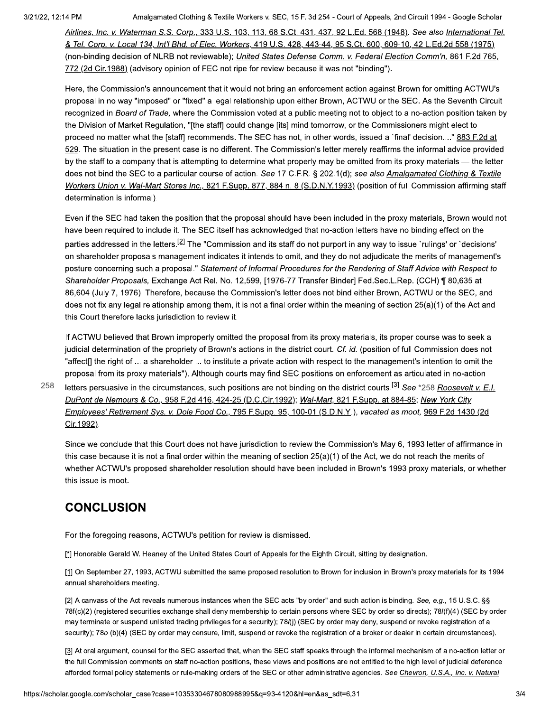Amalgamated Clothing & Textile Workers v. SEC, 15 F. 3d 254 - Court of Appeals, 2nd Circuit 1994 - Google Scholar

Airlines, Inc. v. Waterman S.S. Corp., 333 U.S. 103, 113, 68 S.Ct. 431, 437, 92 L.Ed. 568 (1948). See also International Tel. & Tel. Corp. v. Local 134, Int'l Bhd. of Elec. Workers, 419 U.S. 428, 443-44, 95 S.Ct. 600, 609-10, 42 L.Ed.2d 558 (1975) (non-binding decision of NLRB not reviewable); United States Defense Comm. v. Federal Election Comm'n, 861 F.2d 765, 772 (2d Cir.1988) (advisory opinion of FEC not ripe for review because it was not "binding").

Here, the Commission's announcement that it would not bring an enforcement action against Brown for omitting ACTWU's proposal in no way "imposed" or "fixed" a legal relationship upon either Brown, ACTWU or the SEC. As the Seventh Circuit recognized in Board of Trade, where the Commission voted at a public meeting not to object to a no-action position taken by the Division of Market Regulation, "[the staff] could change [its] mind tomorrow, or the Commissioners might elect to proceed no matter what the [staff] recommends. The SEC has not, in other words, issued a 'final' decision...." 883 F.2d at 529. The situation in the present case is no different. The Commission's letter merely reaffirms the informal advice provided by the staff to a company that is attempting to determine what properly may be omitted from its proxy materials — the letter does not bind the SEC to a particular course of action. See 17 C.F.R. § 202.1(d); see also Amalgamated Clothing & Textile Workers Union v. Wal-Mart Stores Inc., 821 F.Supp. 877, 884 n. 8 (S.D.N.Y.1993) (position of full Commission affirming staff determination is informal).

Even if the SEC had taken the position that the proposal should have been included in the proxy materials, Brown would not have been required to include it. The SEC itself has acknowledged that no-action letters have no binding effect on the parties addressed in the letters.<sup>[2]</sup> The "Commission and its staff do not purport in any way to issue `rulings' or `decisions' on shareholder proposals management indicates it intends to omit, and they do not adjudicate the merits of management's posture concerning such a proposal." Statement of Informal Procedures for the Rendering of Staff Advice with Respect to Shareholder Proposals, Exchange Act Rel. No. 12,599, [1976-77 Transfer Binder] Fed.Sec.L.Rep. (CCH) ¶ 80,635 at 86,604 (July 7, 1976). Therefore, because the Commission's letter does not bind either Brown, ACTWU or the SEC, and does not fix any legal relationship among them, it is not a final order within the meaning of section 25(a)(1) of the Act and this Court therefore lacks jurisdiction to review it.

If ACTWU believed that Brown improperly omitted the proposal from its proxy materials, its proper course was to seek a judicial determination of the propriety of Brown's actions in the district court. Cf. id. (position of full Commission does not "affect[] the right of ... a shareholder ... to institute a private action with respect to the management's intention to omit the proposal from its proxy materials"). Although courts may find SEC positions on enforcement as articulated in no-action

258

letters persuasive in the circumstances, such positions are not binding on the district courts.<sup>[3]</sup> See \*258 Roosevelt v. E.I. DuPont de Nemours & Co., 958 F.2d 416, 424-25 (D.C.Cir.1992); Wal-Mart, 821 F.Supp. at 884-85; New York City Employees' Retirement Sys. v. Dole Food Co., 795 F.Supp. 95, 100-01 (S.D.N.Y.), vacated as moot, 969 F.2d 1430 (2d Cir.1992).

Since we conclude that this Court does not have jurisdiction to review the Commission's May 6, 1993 letter of affirmance in this case because it is not a final order within the meaning of section  $25(a)(1)$  of the Act, we do not reach the merits of whether ACTWU's proposed shareholder resolution should have been included in Brown's 1993 proxy materials, or whether this issue is moot.

## **CONCLUSION**

For the foregoing reasons, ACTWU's petition for review is dismissed.

[\*] Honorable Gerald W. Heaney of the United States Court of Appeals for the Eighth Circuit, sitting by designation.

[1] On September 27, 1993, ACTWU submitted the same proposed resolution to Brown for inclusion in Brown's proxy materials for its 1994 annual shareholders meeting.

[2] A canvass of the Act reveals numerous instances when the SEC acts "by order" and such action is binding. See, e.g., 15 U.S.C. §§ 78f(c)(2) (registered securities exchange shall deny membership to certain persons where SEC by order so directs); 78/(f)(4) (SEC by order may terminate or suspend unlisted trading privileges for a security); 78/(j) (SEC by order may deny, suspend or revoke registration of a security); 78o (b)(4) (SEC by order may censure, limit, suspend or revoke the registration of a broker or dealer in certain circumstances).

[3] At oral argument, counsel for the SEC asserted that, when the SEC staff speaks through the informal mechanism of a no-action letter or the full Commission comments on staff no-action positions, these views and positions are not entitled to the high level of judicial deference afforded formal policy statements or rule-making orders of the SEC or other administrative agencies. See Chevron, U.S.A., Inc. v. Natural